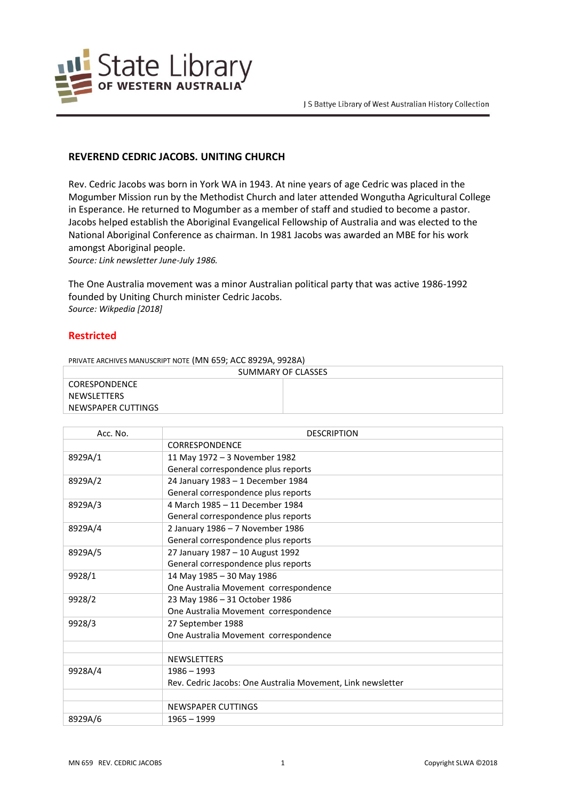

## **REVEREND CEDRIC JACOBS. UNITING CHURCH**

Rev. Cedric Jacobs was born in York WA in 1943. At nine years of age Cedric was placed in the Mogumber Mission run by the Methodist Church and later attended Wongutha Agricultural College in Esperance. He returned to Mogumber as a member of staff and studied to become a pastor. Jacobs helped establish the Aboriginal Evangelical Fellowship of Australia and was elected to the National Aboriginal Conference as chairman. In 1981 Jacobs was awarded an MBE for his work amongst Aboriginal people.

*Source: Link newsletter June-July 1986.*

The One Australia movement was a minor Australian political party that was active 1986-1992 founded by Uniting Church minister Cedric Jacobs. *Source: Wikpedia [2018]*

## **Restricted**

PRIVATE ARCHIVES MANUSCRIPT NOTE (MN 659; ACC 8929A, 9928A)

| SUMMARY OF CLASSES |  |
|--------------------|--|
| CORESPONDENCE      |  |
| NEWSLETTERS        |  |
| NEWSPAPER CUTTINGS |  |

| Acc. No. | <b>DESCRIPTION</b>                                          |
|----------|-------------------------------------------------------------|
|          | <b>CORRESPONDENCE</b>                                       |
| 8929A/1  | 11 May 1972 - 3 November 1982                               |
|          | General correspondence plus reports                         |
| 8929A/2  | 24 January 1983 - 1 December 1984                           |
|          | General correspondence plus reports                         |
| 8929A/3  | 4 March 1985 - 11 December 1984                             |
|          | General correspondence plus reports                         |
| 8929A/4  | 2 January 1986 - 7 November 1986                            |
|          | General correspondence plus reports                         |
| 8929A/5  | 27 January 1987 - 10 August 1992                            |
|          | General correspondence plus reports                         |
| 9928/1   | 14 May 1985 - 30 May 1986                                   |
|          | One Australia Movement correspondence                       |
| 9928/2   | 23 May 1986 - 31 October 1986                               |
|          | One Australia Movement correspondence                       |
| 9928/3   | 27 September 1988                                           |
|          | One Australia Movement correspondence                       |
|          |                                                             |
|          | <b>NEWSLETTERS</b>                                          |
| 9928A/4  | $1986 - 1993$                                               |
|          | Rev. Cedric Jacobs: One Australia Movement, Link newsletter |
|          |                                                             |
|          | NEWSPAPER CUTTINGS                                          |
| 8929A/6  | $1965 - 1999$                                               |